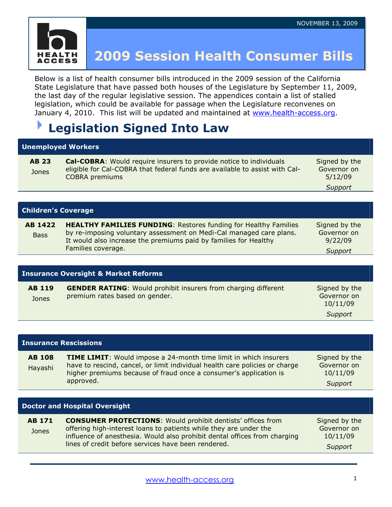

## 2009 Session Health Consumer Bills

Below is a list of health consumer bills introduced in the 2009 session of the California State Legislature that have passed both houses of the Legislature by September 11, 2009, the last day of the regular legislative session. The appendices contain a list of stalled legislation, which could be available for passage when the Legislature reconvenes on January 4, 2010. This list will be updated and maintained at www.health-access.org.

### Legislation Signed Into Law

### Unemployed Workers

| <b>AB 23</b> | <b>Cal-COBRA:</b> Would require insurers to provide notice to individuals   | Signed by the |
|--------------|-----------------------------------------------------------------------------|---------------|
| <b>Jones</b> | eligible for Cal-COBRA that federal funds are available to assist with Cal- | Governor on   |
|              | COBRA premiums                                                              | 5/12/09       |
|              |                                                                             | Support       |

| <b>Children's Coverage</b> |  |
|----------------------------|--|
|----------------------------|--|

Doctor and Hospital Oversight

| AB 1422     | <b>HEALTHY FAMILIES FUNDING: Restores funding for Healthy Families</b> | Signed by the |  |
|-------------|------------------------------------------------------------------------|---------------|--|
| <b>Bass</b> | by re-imposing voluntary assessment on Medi-Cal managed care plans.    | Governor on   |  |
|             | It would also increase the premiums paid by families for Healthy       | 9/22/09       |  |
|             | Families coverage.                                                     | Support       |  |

| <b>Insurance Oversight &amp; Market Reforms</b> |                                                                                                         |                                                     |
|-------------------------------------------------|---------------------------------------------------------------------------------------------------------|-----------------------------------------------------|
| <b>AB 119</b><br>Jones                          | <b>GENDER RATING:</b> Would prohibit insurers from charging different<br>premium rates based on gender. | Signed by the<br>Governor on<br>10/11/09<br>Support |

| <b>Insurance Rescissions</b> |                                                                                                                                                                                                                                          |                                                     |
|------------------------------|------------------------------------------------------------------------------------------------------------------------------------------------------------------------------------------------------------------------------------------|-----------------------------------------------------|
| <b>AB 108</b><br>Hayashi     | <b>TIME LIMIT:</b> Would impose a 24-month time limit in which insurers<br>have to rescind, cancel, or limit individual health care policies or charge<br>higher premiums because of fraud once a consumer's application is<br>approved. | Signed by the<br>Governor on<br>10/11/09<br>Support |
|                              |                                                                                                                                                                                                                                          |                                                     |

| <b>AB 171</b> | <b>CONSUMER PROTECTIONS:</b> Would prohibit dentists' offices from                                                                             | Signed by the           |
|---------------|------------------------------------------------------------------------------------------------------------------------------------------------|-------------------------|
| Jones         | offering high-interest loans to patients while they are under the<br>influence of anesthesia. Would also prohibit dental offices from charging | Governor on<br>10/11/09 |
|               | lines of credit before services have been rendered.                                                                                            | Support                 |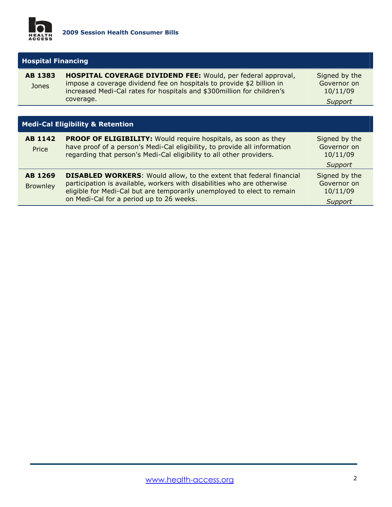

| <b>Hospital Financing</b> |                                                                                                                                                                                                                            |                                          |
|---------------------------|----------------------------------------------------------------------------------------------------------------------------------------------------------------------------------------------------------------------------|------------------------------------------|
| AB 1383<br>Jones          | <b>HOSPITAL COVERAGE DIVIDEND FEE: Would, per federal approval,</b><br>impose a coverage dividend fee on hospitals to provide \$2 billion in<br>increased Medi-Cal rates for hospitals and \$300million for children's     | Signed by the<br>Governor on<br>10/11/09 |
|                           | coverage.                                                                                                                                                                                                                  | Support                                  |
|                           |                                                                                                                                                                                                                            |                                          |
|                           | <b>Medi-Cal Eligibility &amp; Retention</b>                                                                                                                                                                                |                                          |
| <b>AB 1142</b><br>Price   | <b>PROOF OF ELIGIBILITY:</b> Would require hospitals, as soon as they<br>have proof of a person's Medi-Cal eligibility, to provide all information<br>regarding that person's Medi-Cal eligibility to all other providers. | Signed by the<br>Governor on<br>10/11/09 |
|                           |                                                                                                                                                                                                                            | Support                                  |

#### AB 1269 **Brownley DISABLED WORKERS:** Would allow, to the extent that federal financial participation is available, workers with disabilities who are otherwise eligible for Medi-Cal but are temporarily unemployed to elect to remain on Medi-Cal for a period up to 26 weeks. Signed by the Governor on 10/11/09 Support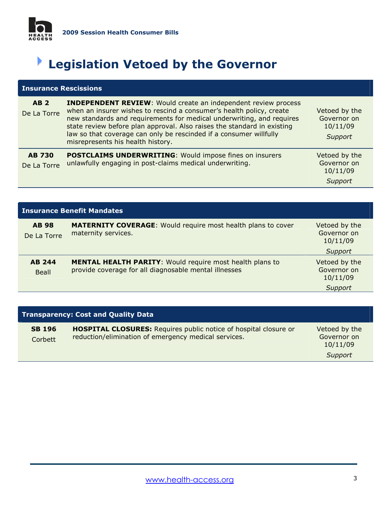

# Legislation Vetoed by the Governor

|                              | <b>Insurance Rescissions</b>                                                                                                                                                                                                                                                                                                                                                                                 |                                                     |  |
|------------------------------|--------------------------------------------------------------------------------------------------------------------------------------------------------------------------------------------------------------------------------------------------------------------------------------------------------------------------------------------------------------------------------------------------------------|-----------------------------------------------------|--|
| <b>AB2</b><br>De La Torre    | <b>INDEPENDENT REVIEW:</b> Would create an independent review process<br>when an insurer wishes to rescind a consumer's health policy, create<br>new standards and requirements for medical underwriting, and requires<br>state review before plan approval. Also raises the standard in existing<br>law so that coverage can only be rescinded if a consumer willfully<br>misrepresents his health history. | Vetoed by the<br>Governor on<br>10/11/09<br>Support |  |
| <b>AB 730</b><br>De La Torre | <b>POSTCLAIMS UNDERWRITING: Would impose fines on insurers</b><br>unlawfully engaging in post-claims medical underwriting.                                                                                                                                                                                                                                                                                   | Vetoed by the<br>Governor on<br>10/11/09<br>Support |  |

| <b>Insurance Benefit Mandates</b> |                                                                                                                          |                                                     |
|-----------------------------------|--------------------------------------------------------------------------------------------------------------------------|-----------------------------------------------------|
| <b>AB 98</b><br>De La Torre       | <b>MATERNITY COVERAGE:</b> Would require most health plans to cover<br>maternity services.                               | Vetoed by the<br>Governor on<br>10/11/09<br>Support |
| <b>AB 244</b><br>Beall            | <b>MENTAL HEALTH PARITY:</b> Would require most health plans to<br>provide coverage for all diagnosable mental illnesses | Vetoed by the<br>Governor on<br>10/11/09<br>Support |

| <b>Transparency: Cost and Quality Data</b> |                                                                                                                                 |                                                     |
|--------------------------------------------|---------------------------------------------------------------------------------------------------------------------------------|-----------------------------------------------------|
| <b>SB 196</b><br>Corbett                   | <b>HOSPITAL CLOSURES:</b> Requires public notice of hospital closure or<br>reduction/elimination of emergency medical services. | Vetoed by the<br>Governor on<br>10/11/09<br>Support |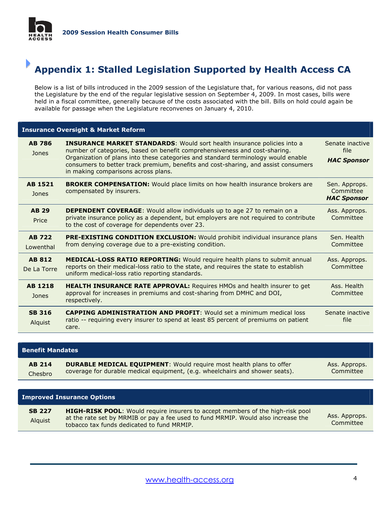

### Appendix 1: Stalled Legislation Supported by Health Access CA

Below is a list of bills introduced in the 2009 session of the Legislature that, for various reasons, did not pass the Legislature by the end of the regular legislative session on September 4, 2009. In most cases, bills were held in a fiscal committee, generally because of the costs associated with the bill. Bills on hold could again be available for passage when the Legislature reconvenes on January 4, 2010.

| <b>Insurance Oversight &amp; Market Reform</b> |                                                                                                                                                                                                                                                                                                                                                                                |                                                  |  |
|------------------------------------------------|--------------------------------------------------------------------------------------------------------------------------------------------------------------------------------------------------------------------------------------------------------------------------------------------------------------------------------------------------------------------------------|--------------------------------------------------|--|
| <b>AB 786</b><br>Jones                         | <b>INSURANCE MARKET STANDARDS:</b> Would sort health insurance policies into a<br>number of categories, based on benefit comprehensiveness and cost-sharing.<br>Organization of plans into these categories and standard terminology would enable<br>consumers to better track premium, benefits and cost-sharing, and assist consumers<br>in making comparisons across plans. | Senate inactive<br>file<br><b>HAC Sponsor</b>    |  |
| AB 1521<br>Jones                               | <b>BROKER COMPENSATION:</b> Would place limits on how health insurance brokers are<br>compensated by insurers.                                                                                                                                                                                                                                                                 | Sen. Approps.<br>Committee<br><b>HAC Sponsor</b> |  |
| <b>AB 29</b><br>Price                          | <b>DEPENDENT COVERAGE:</b> Would allow individuals up to age 27 to remain on a<br>private insurance policy as a dependent, but employers are not required to contribute<br>to the cost of coverage for dependents over 23.                                                                                                                                                     | Ass. Approps.<br>Committee                       |  |
| <b>AB 722</b><br>Lowenthal                     | <b>PRE-EXISTING CONDITION EXCLUSION:</b> Would prohibit individual insurance plans<br>from denying coverage due to a pre-existing condition.                                                                                                                                                                                                                                   | Sen. Health<br>Committee                         |  |
| <b>AB 812</b><br>De La Torre                   | <b>MEDICAL-LOSS RATIO REPORTING:</b> Would require health plans to submit annual<br>reports on their medical-loss ratio to the state, and requires the state to establish<br>uniform medical-loss ratio reporting standards.                                                                                                                                                   | Ass. Approps.<br>Committee                       |  |
| <b>AB 1218</b><br>Jones                        | HEALTH INSURANCE RATE APPROVAL: Requires HMOs and health insurer to get<br>approval for increases in premiums and cost-sharing from DMHC and DOI,<br>respectively.                                                                                                                                                                                                             | Ass. Health<br>Committee                         |  |
| <b>SB 316</b><br>Alquist                       | <b>CAPPING ADMINISTRATION AND PROFIT:</b> Would set a minimum medical loss<br>ratio -- requiring every insurer to spend at least 85 percent of premiums on patient<br>care.                                                                                                                                                                                                    | Senate inactive<br>file                          |  |
|                                                |                                                                                                                                                                                                                                                                                                                                                                                |                                                  |  |

| <b>Benefit Mandates</b> |                                                                              |               |
|-------------------------|------------------------------------------------------------------------------|---------------|
| <b>AB 214</b>           | <b>DURABLE MEDICAL EQUIPMENT:</b> Would require most health plans to offer   | Ass. Approps. |
| Chesbro                 | coverage for durable medical equipment, (e.g. wheelchairs and shower seats). | Committee     |

| <b>Improved Insurance Options</b> |                                                                                                                                                                                                                          |                            |
|-----------------------------------|--------------------------------------------------------------------------------------------------------------------------------------------------------------------------------------------------------------------------|----------------------------|
| <b>SB 227</b><br>Alquist          | <b>HIGH-RISK POOL:</b> Would require insurers to accept members of the high-risk pool<br>at the rate set by MRMIB or pay a fee used to fund MRMIP. Would also increase the<br>tobacco tax funds dedicated to fund MRMIP. | Ass. Approps.<br>Committee |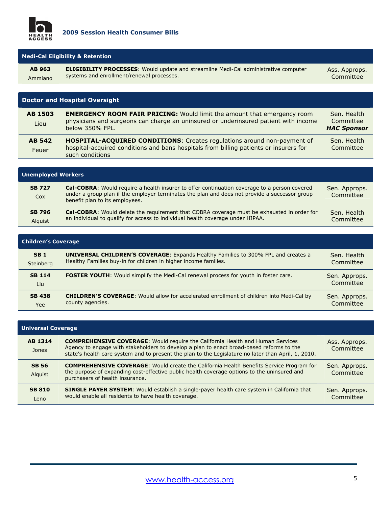

| <b>Medi-Cal Eligibility &amp; Retention</b> |                                                                                                                                         |                            |  |
|---------------------------------------------|-----------------------------------------------------------------------------------------------------------------------------------------|----------------------------|--|
| AB 963<br>Ammiano                           | <b>ELIGIBILITY PROCESSES:</b> Would update and streamline Medi-Cal administrative computer<br>systems and enrollment/renewal processes. | Ass. Approps.<br>Committee |  |
|                                             |                                                                                                                                         |                            |  |
|                                             |                                                                                                                                         |                            |  |

| Doctor and Hospital Oversight |                                                                                                                                                                                          |                                                |
|-------------------------------|------------------------------------------------------------------------------------------------------------------------------------------------------------------------------------------|------------------------------------------------|
| <b>AB 1503</b><br>Lieu        | <b>EMERGENCY ROOM FAIR PRICING:</b> Would limit the amount that emergency room<br>physicians and surgeons can charge an uninsured or underinsured patient with income<br>below 350% FPL. | Sen. Health<br>Committee<br><b>HAC Sponsor</b> |
| <b>AB 542</b><br>Feuer        | HOSPITAL-ACQUIRED CONDITIONS: Creates regulations around non-payment of<br>hospital-acquired conditions and bans hospitals from billing patients or insurers for<br>such conditions      | Sen. Health<br>Committee                       |

| <b>Unemployed Workers</b>       |                                                                                                                                                                                                                                        |                            |
|---------------------------------|----------------------------------------------------------------------------------------------------------------------------------------------------------------------------------------------------------------------------------------|----------------------------|
| <b>SB 727</b><br>Cox            | <b>Cal-COBRA:</b> Would require a health insurer to offer continuation coverage to a person covered<br>under a group plan if the employer terminates the plan and does not provide a successor group<br>benefit plan to its employees. | Sen. Approps.<br>Committee |
| <b>SB 796</b><br><b>Alquist</b> | <b>Cal-COBRA:</b> Would delete the requirement that COBRA coverage must be exhausted in order for<br>an individual to qualify for access to individual health coverage under HIPAA.                                                    | Sen. Health<br>Committee   |

| <b>Children's Coverage</b> |                                                                                                 |                            |
|----------------------------|-------------------------------------------------------------------------------------------------|----------------------------|
| <b>SB1</b>                 | <b>UNIVERSAL CHILDREN'S COVERAGE:</b> Expands Healthy Families to 300% FPL and creates a        | Sen. Health                |
| Steinberg                  | Healthy Families buy-in for children in higher income families.                                 | Committee                  |
| <b>SB 114</b><br>Liu       | <b>FOSTER YOUTH:</b> Would simplify the Medi-Cal renewal process for youth in foster care.      | Sen. Approps.<br>Committee |
| <b>SB 438</b>              | <b>CHILDREN'S COVERAGE:</b> Would allow for accelerated enrollment of children into Medi-Cal by | Sen. Approps.              |
| Yee                        | county agencies.                                                                                | Committee                  |

| <b>Universal Coverage</b> |                                                                                                                                                                                                                                                                                          |                            |  |
|---------------------------|------------------------------------------------------------------------------------------------------------------------------------------------------------------------------------------------------------------------------------------------------------------------------------------|----------------------------|--|
| AB 1314<br>Jones          | <b>COMPREHENSIVE COVERAGE:</b> Would require the California Health and Human Services<br>Agency to engage with stakeholders to develop a plan to enact broad-based reforms to the<br>state's health care system and to present the plan to the Legislature no later than April, 1, 2010. | Ass. Approps.<br>Committee |  |
| <b>SB 56</b><br>Alguist   | <b>COMPREHENSIVE COVERAGE:</b> Would create the California Health Benefits Service Program for<br>the purpose of expanding cost-effective public health coverage options to the uninsured and<br>purchasers of health insurance.                                                         | Sen. Approps.<br>Committee |  |
| <b>SB 810</b><br>Leno     | <b>SINGLE PAYER SYSTEM:</b> Would establish a single-payer health care system in California that<br>would enable all residents to have health coverage.                                                                                                                                  | Sen. Approps.<br>Committee |  |